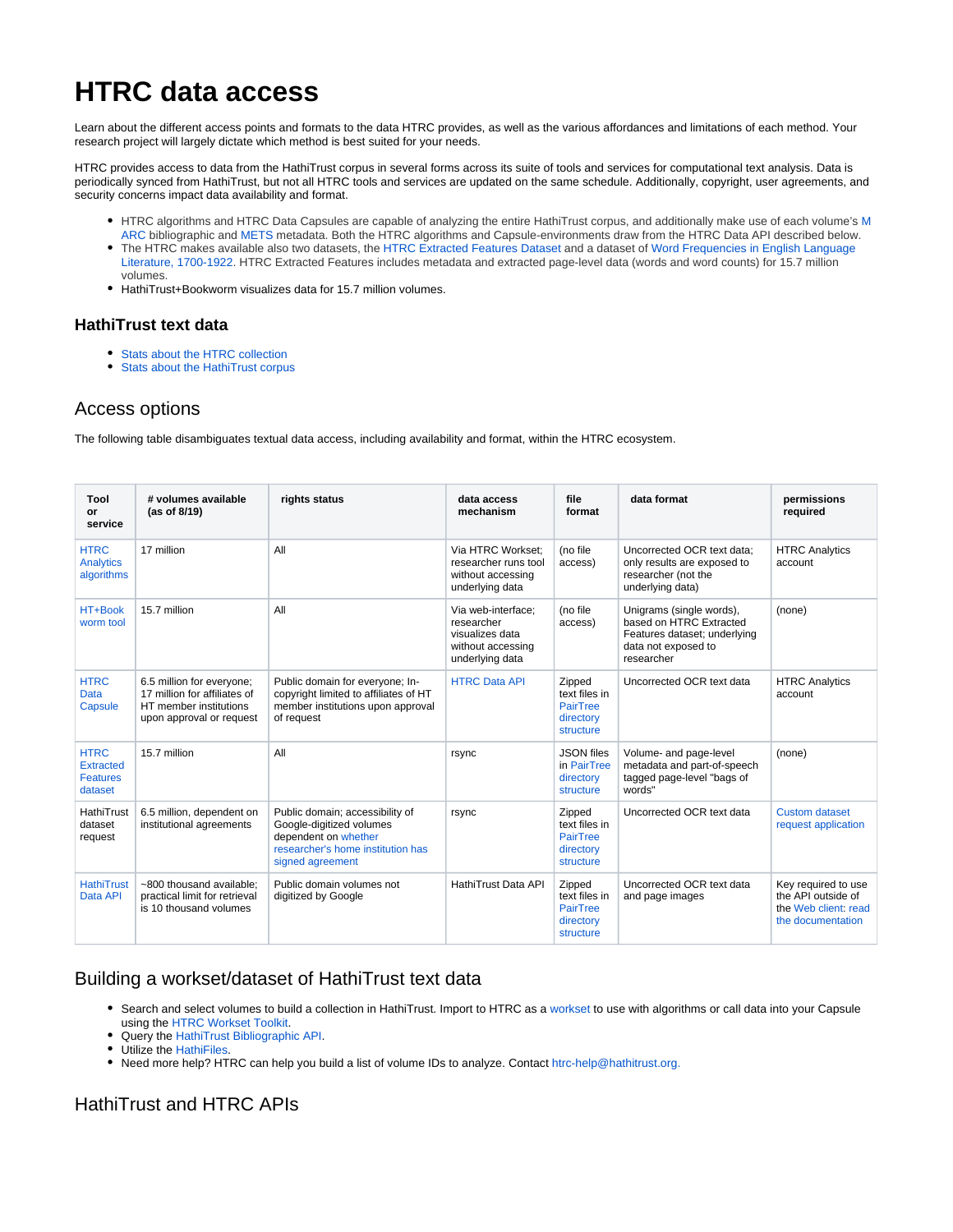# **HTRC data access**

Learn about the different access points and formats to the data HTRC provides, as well as the various affordances and limitations of each method. Your research project will largely dictate which method is best suited for your needs.

HTRC provides access to data from the HathiTrust corpus in several forms across its suite of tools and services for computational text analysis. Data is periodically synced from HathiTrust, but not all HTRC tools and services are updated on the same schedule. Additionally, copyright, user agreements, and security concerns impact data availability and format.

- HTRC algorithms and HTRC Data Capsules are capable of analyzing the entire HathiTrust corpus, and additionally make use of each volume's [M](http://www.loc.gov/marc/faq.html) [ARC](http://www.loc.gov/marc/faq.html) bibliographic and [METS](http://www.loc.gov/standards/mets/METSOverview.v2.html) metadata. Both the HTRC algorithms and Capsule-environments draw from the HTRC Data API described below.
- The HTRC makes available also two datasets, the [HTRC Extracted Features Dataset a](https://wiki.htrc.illinois.edu/pages/viewpage.action?pageId=37322766)nd a dataset of [Word Frequencies in English Language](https://wiki.htrc.illinois.edu/display/COM/Word+Frequencies+in+English-Language+Literature%2C+1700-1922)  [Literature, 1700-1922.](https://wiki.htrc.illinois.edu/display/COM/Word+Frequencies+in+English-Language+Literature%2C+1700-1922) HTRC Extracted Features includes metadata and extracted page-level data (words and word counts) for 15.7 million volumes.
- HathiTrust+Bookworm visualizes data for 15.7 million volumes.

#### **HathiTrust text data**

- [Stats about the HTRC collection](https://wiki.htrc.illinois.edu/display/COM/About+the+Collection)
- [Stats about the HathiTrust corpus](https://www.hathitrust.org/statistics_visualizations)

### Access options

The following table disambiguates textual data access, including availability and format, within the HTRC ecosystem.

| Tool<br>or<br>service                                  | # volumes available<br>(as of 8/19)                                                                             | rights status                                                                                                                                | data access<br>mechanism                                                                    | file<br>format                                                       | data format                                                                                                              | permissions<br>required                                                                |
|--------------------------------------------------------|-----------------------------------------------------------------------------------------------------------------|----------------------------------------------------------------------------------------------------------------------------------------------|---------------------------------------------------------------------------------------------|----------------------------------------------------------------------|--------------------------------------------------------------------------------------------------------------------------|----------------------------------------------------------------------------------------|
| <b>HTRC</b><br><b>Analytics</b><br>algorithms          | 17 million                                                                                                      | All                                                                                                                                          | Via HTRC Workset:<br>researcher runs tool<br>without accessing<br>underlying data           | (no file<br>access)                                                  | Uncorrected OCR text data:<br>only results are exposed to<br>researcher (not the<br>underlying data)                     | <b>HTRC Analytics</b><br>account                                                       |
| HT+Book<br>worm tool                                   | 15 7 million                                                                                                    | All                                                                                                                                          | Via web-interface;<br>researcher<br>visualizes data<br>without accessing<br>underlying data | (no file<br>access)                                                  | Unigrams (single words),<br>based on HTRC Extracted<br>Features dataset; underlying<br>data not exposed to<br>researcher | (none)                                                                                 |
| <b>HTRC</b><br>Data<br>Capsule                         | 6.5 million for everyone;<br>17 million for affiliates of<br>HT member institutions<br>upon approval or request | Public domain for everyone; In-<br>copyright limited to affiliates of HT<br>member institutions upon approval<br>of request                  | <b>HTRC Data API</b>                                                                        | Zipped<br>text files in<br>PairTree<br>directory<br>structure        | Uncorrected OCR text data                                                                                                | <b>HTRC Analytics</b><br>account                                                       |
| <b>HTRC</b><br>Extracted<br><b>Features</b><br>dataset | 15.7 million                                                                                                    | All                                                                                                                                          | rsync                                                                                       | <b>JSON</b> files<br>in PairTree<br>directory<br>structure           | Volume- and page-level<br>metadata and part-of-speech<br>tagged page-level "bags of<br>words"                            | (none)                                                                                 |
| HathiTrust<br>dataset<br>request                       | 6.5 million, dependent on<br>institutional agreements                                                           | Public domain; accessibility of<br>Google-digitized volumes<br>dependent on whether<br>researcher's home institution has<br>signed agreement | rsync                                                                                       | Zipped<br>text files in<br><b>PairTree</b><br>directory<br>structure | Uncorrected OCR text data                                                                                                | Custom dataset<br>request application                                                  |
| <b>HathiTrust</b><br>Data API                          | ~800 thousand available:<br>practical limit for retrieval<br>is 10 thousand volumes                             | Public domain volumes not<br>digitized by Google                                                                                             | HathiTrust Data API                                                                         | Zipped<br>text files in<br><b>PairTree</b><br>directory<br>structure | Uncorrected OCR text data<br>and page images                                                                             | Key required to use<br>the API outside of<br>the Web client: read<br>the documentation |

#### Building a workset/dataset of HathiTrust text data

- Search and select volumes to build a collection in HathiTrust. Import to HTRC as a [workset](https://wiki.htrc.illinois.edu/display/COM/HTRC+Worksets) to use with algorithms or call data into your Capsule using the [HTRC Workset Toolkit](https://wiki.htrc.illinois.edu/display/COM/HTRC+Workset+Toolkit).
- Query the [HathiTrust Bibliographic API.](https://www.hathitrust.org/bib_api)
- **Utilize the [HathiFiles](https://www.hathitrust.org/hathifiles).**
- Need more help? HTRC can help you build a list of volume IDs to analyze. Contact [htrc-help@hathitrust.org.](mailto:htrc-help@hathitrust.org.)

## HathiTrust and HTRC APIs